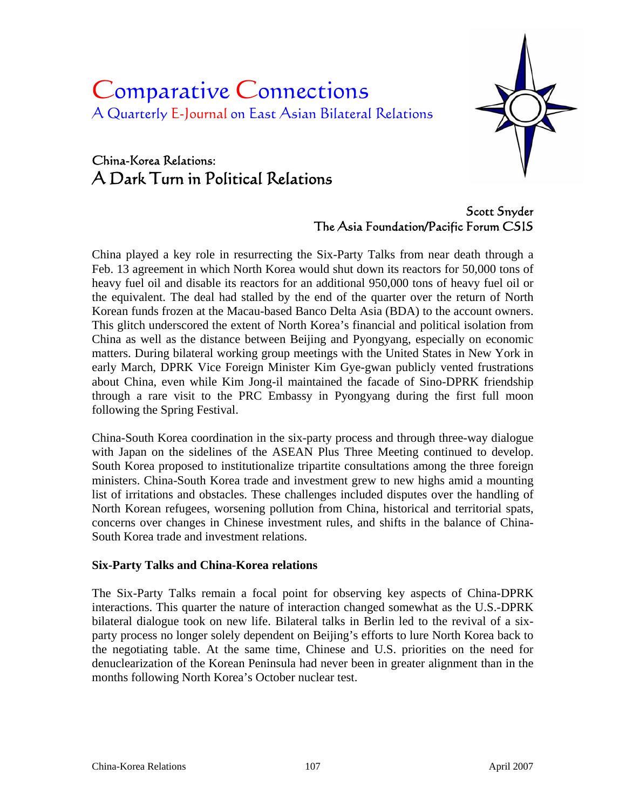# Comparative Connections A Quarterly E-Journal on East Asian Bilateral Relations

# China-Korea Relations: A Dark Turn in Political Relations



Scott Snyder The Asia Foundation/Pacific Forum CSIS

China played a key role in resurrecting the Six-Party Talks from near death through a Feb. 13 agreement in which North Korea would shut down its reactors for 50,000 tons of heavy fuel oil and disable its reactors for an additional 950,000 tons of heavy fuel oil or the equivalent. The deal had stalled by the end of the quarter over the return of North Korean funds frozen at the Macau-based Banco Delta Asia (BDA) to the account owners. This glitch underscored the extent of North Korea's financial and political isolation from China as well as the distance between Beijing and Pyongyang, especially on economic matters. During bilateral working group meetings with the United States in New York in early March, DPRK Vice Foreign Minister Kim Gye-gwan publicly vented frustrations about China, even while Kim Jong-il maintained the facade of Sino-DPRK friendship through a rare visit to the PRC Embassy in Pyongyang during the first full moon following the Spring Festival.

China-South Korea coordination in the six-party process and through three-way dialogue with Japan on the sidelines of the ASEAN Plus Three Meeting continued to develop. South Korea proposed to institutionalize tripartite consultations among the three foreign ministers. China-South Korea trade and investment grew to new highs amid a mounting list of irritations and obstacles. These challenges included disputes over the handling of North Korean refugees, worsening pollution from China, historical and territorial spats, concerns over changes in Chinese investment rules, and shifts in the balance of China-South Korea trade and investment relations.

#### **Six-Party Talks and China-Korea relations**

The Six-Party Talks remain a focal point for observing key aspects of China-DPRK interactions. This quarter the nature of interaction changed somewhat as the U.S.-DPRK bilateral dialogue took on new life. Bilateral talks in Berlin led to the revival of a sixparty process no longer solely dependent on Beijing's efforts to lure North Korea back to the negotiating table. At the same time, Chinese and U.S. priorities on the need for denuclearization of the Korean Peninsula had never been in greater alignment than in the months following North Korea's October nuclear test.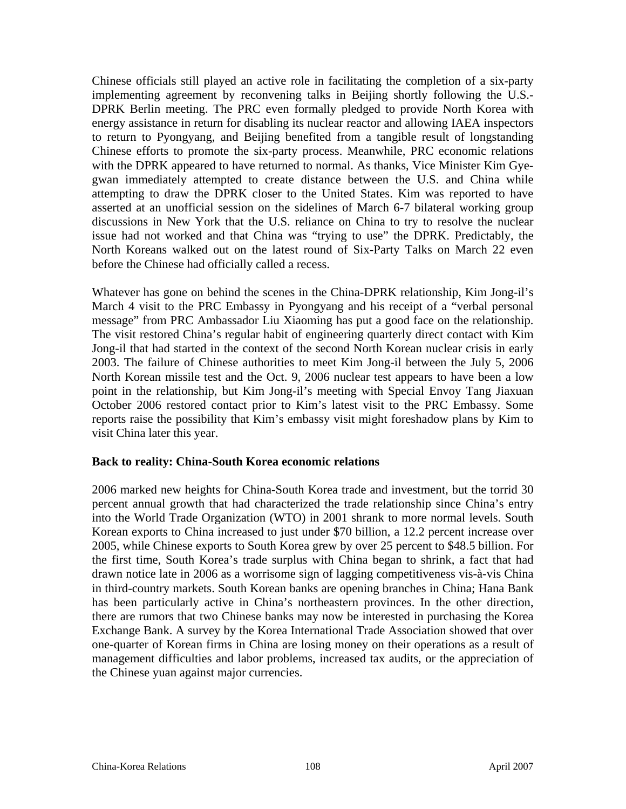Chinese officials still played an active role in facilitating the completion of a six-party implementing agreement by reconvening talks in Beijing shortly following the U.S.- DPRK Berlin meeting. The PRC even formally pledged to provide North Korea with energy assistance in return for disabling its nuclear reactor and allowing IAEA inspectors to return to Pyongyang, and Beijing benefited from a tangible result of longstanding Chinese efforts to promote the six-party process. Meanwhile, PRC economic relations with the DPRK appeared to have returned to normal. As thanks, Vice Minister Kim Gyegwan immediately attempted to create distance between the U.S. and China while attempting to draw the DPRK closer to the United States. Kim was reported to have asserted at an unofficial session on the sidelines of March 6-7 bilateral working group discussions in New York that the U.S. reliance on China to try to resolve the nuclear issue had not worked and that China was "trying to use" the DPRK. Predictably, the North Koreans walked out on the latest round of Six-Party Talks on March 22 even before the Chinese had officially called a recess.

Whatever has gone on behind the scenes in the China-DPRK relationship, Kim Jong-il's March 4 visit to the PRC Embassy in Pyongyang and his receipt of a "verbal personal message" from PRC Ambassador Liu Xiaoming has put a good face on the relationship. The visit restored China's regular habit of engineering quarterly direct contact with Kim Jong-il that had started in the context of the second North Korean nuclear crisis in early 2003. The failure of Chinese authorities to meet Kim Jong-il between the July 5, 2006 North Korean missile test and the Oct. 9, 2006 nuclear test appears to have been a low point in the relationship, but Kim Jong-il's meeting with Special Envoy Tang Jiaxuan October 2006 restored contact prior to Kim's latest visit to the PRC Embassy. Some reports raise the possibility that Kim's embassy visit might foreshadow plans by Kim to visit China later this year.

#### **Back to reality: China-South Korea economic relations**

2006 marked new heights for China-South Korea trade and investment, but the torrid 30 percent annual growth that had characterized the trade relationship since China's entry into the World Trade Organization (WTO) in 2001 shrank to more normal levels. South Korean exports to China increased to just under \$70 billion, a 12.2 percent increase over 2005, while Chinese exports to South Korea grew by over 25 percent to \$48.5 billion. For the first time, South Korea's trade surplus with China began to shrink, a fact that had drawn notice late in 2006 as a worrisome sign of lagging competitiveness vis-à-vis China in third-country markets. South Korean banks are opening branches in China; Hana Bank has been particularly active in China's northeastern provinces. In the other direction, there are rumors that two Chinese banks may now be interested in purchasing the Korea Exchange Bank. A survey by the Korea International Trade Association showed that over one-quarter of Korean firms in China are losing money on their operations as a result of management difficulties and labor problems, increased tax audits, or the appreciation of the Chinese yuan against major currencies.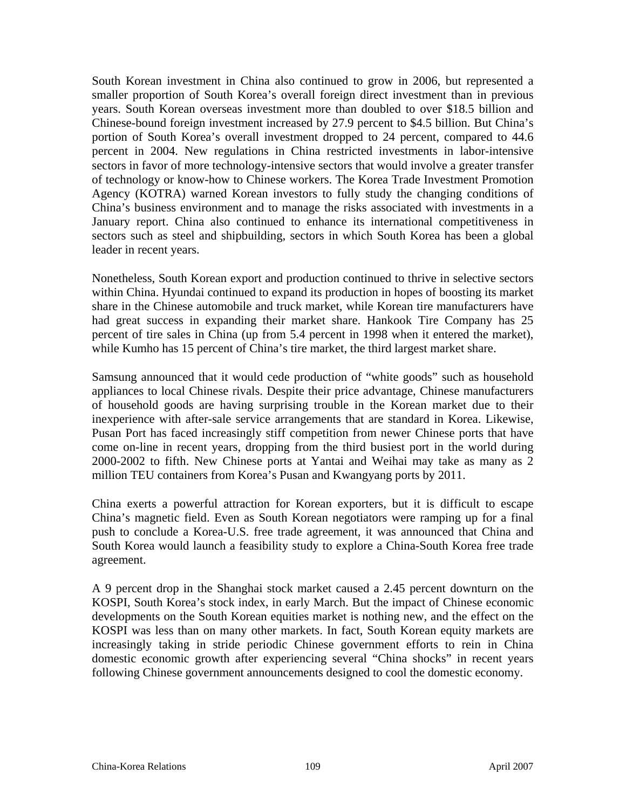South Korean investment in China also continued to grow in 2006, but represented a smaller proportion of South Korea's overall foreign direct investment than in previous years. South Korean overseas investment more than doubled to over \$18.5 billion and Chinese-bound foreign investment increased by 27.9 percent to \$4.5 billion. But China's portion of South Korea's overall investment dropped to 24 percent, compared to 44.6 percent in 2004. New regulations in China restricted investments in labor-intensive sectors in favor of more technology-intensive sectors that would involve a greater transfer of technology or know-how to Chinese workers. The Korea Trade Investment Promotion Agency (KOTRA) warned Korean investors to fully study the changing conditions of China's business environment and to manage the risks associated with investments in a January report. China also continued to enhance its international competitiveness in sectors such as steel and shipbuilding, sectors in which South Korea has been a global leader in recent years.

Nonetheless, South Korean export and production continued to thrive in selective sectors within China. Hyundai continued to expand its production in hopes of boosting its market share in the Chinese automobile and truck market, while Korean tire manufacturers have had great success in expanding their market share. Hankook Tire Company has 25 percent of tire sales in China (up from 5.4 percent in 1998 when it entered the market), while Kumho has 15 percent of China's tire market, the third largest market share.

Samsung announced that it would cede production of "white goods" such as household appliances to local Chinese rivals. Despite their price advantage, Chinese manufacturers of household goods are having surprising trouble in the Korean market due to their inexperience with after-sale service arrangements that are standard in Korea. Likewise, Pusan Port has faced increasingly stiff competition from newer Chinese ports that have come on-line in recent years, dropping from the third busiest port in the world during 2000-2002 to fifth. New Chinese ports at Yantai and Weihai may take as many as 2 million TEU containers from Korea's Pusan and Kwangyang ports by 2011.

China exerts a powerful attraction for Korean exporters, but it is difficult to escape China's magnetic field. Even as South Korean negotiators were ramping up for a final push to conclude a Korea-U.S. free trade agreement, it was announced that China and South Korea would launch a feasibility study to explore a China-South Korea free trade agreement.

A 9 percent drop in the Shanghai stock market caused a 2.45 percent downturn on the KOSPI, South Korea's stock index, in early March. But the impact of Chinese economic developments on the South Korean equities market is nothing new, and the effect on the KOSPI was less than on many other markets. In fact, South Korean equity markets are increasingly taking in stride periodic Chinese government efforts to rein in China domestic economic growth after experiencing several "China shocks" in recent years following Chinese government announcements designed to cool the domestic economy.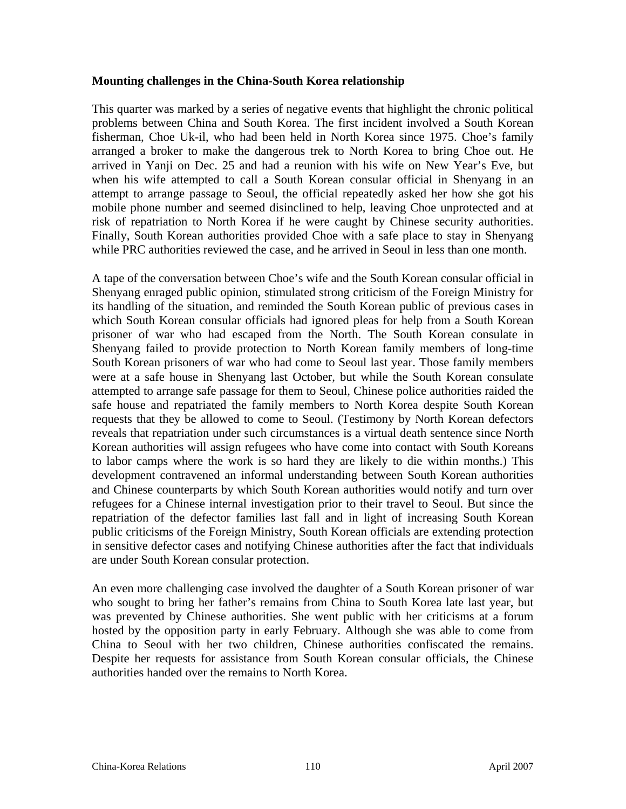#### **Mounting challenges in the China-South Korea relationship**

This quarter was marked by a series of negative events that highlight the chronic political problems between China and South Korea. The first incident involved a South Korean fisherman, Choe Uk-il, who had been held in North Korea since 1975. Choe's family arranged a broker to make the dangerous trek to North Korea to bring Choe out. He arrived in Yanji on Dec. 25 and had a reunion with his wife on New Year's Eve, but when his wife attempted to call a South Korean consular official in Shenyang in an attempt to arrange passage to Seoul, the official repeatedly asked her how she got his mobile phone number and seemed disinclined to help, leaving Choe unprotected and at risk of repatriation to North Korea if he were caught by Chinese security authorities. Finally, South Korean authorities provided Choe with a safe place to stay in Shenyang while PRC authorities reviewed the case, and he arrived in Seoul in less than one month.

A tape of the conversation between Choe's wife and the South Korean consular official in Shenyang enraged public opinion, stimulated strong criticism of the Foreign Ministry for its handling of the situation, and reminded the South Korean public of previous cases in which South Korean consular officials had ignored pleas for help from a South Korean prisoner of war who had escaped from the North. The South Korean consulate in Shenyang failed to provide protection to North Korean family members of long-time South Korean prisoners of war who had come to Seoul last year. Those family members were at a safe house in Shenyang last October, but while the South Korean consulate attempted to arrange safe passage for them to Seoul, Chinese police authorities raided the safe house and repatriated the family members to North Korea despite South Korean requests that they be allowed to come to Seoul. (Testimony by North Korean defectors reveals that repatriation under such circumstances is a virtual death sentence since North Korean authorities will assign refugees who have come into contact with South Koreans to labor camps where the work is so hard they are likely to die within months.) This development contravened an informal understanding between South Korean authorities and Chinese counterparts by which South Korean authorities would notify and turn over refugees for a Chinese internal investigation prior to their travel to Seoul. But since the repatriation of the defector families last fall and in light of increasing South Korean public criticisms of the Foreign Ministry, South Korean officials are extending protection in sensitive defector cases and notifying Chinese authorities after the fact that individuals are under South Korean consular protection.

An even more challenging case involved the daughter of a South Korean prisoner of war who sought to bring her father's remains from China to South Korea late last year, but was prevented by Chinese authorities. She went public with her criticisms at a forum hosted by the opposition party in early February. Although she was able to come from China to Seoul with her two children, Chinese authorities confiscated the remains. Despite her requests for assistance from South Korean consular officials, the Chinese authorities handed over the remains to North Korea.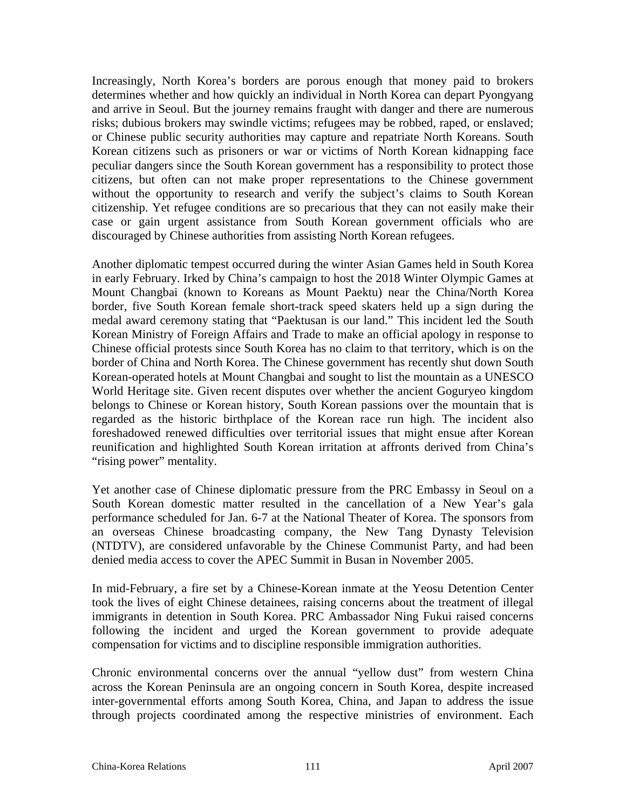Increasingly, North Korea's borders are porous enough that money paid to brokers determines whether and how quickly an individual in North Korea can depart Pyongyang and arrive in Seoul. But the journey remains fraught with danger and there are numerous risks; dubious brokers may swindle victims; refugees may be robbed, raped, or enslaved; or Chinese public security authorities may capture and repatriate North Koreans. South Korean citizens such as prisoners or war or victims of North Korean kidnapping face peculiar dangers since the South Korean government has a responsibility to protect those citizens, but often can not make proper representations to the Chinese government without the opportunity to research and verify the subject's claims to South Korean citizenship. Yet refugee conditions are so precarious that they can not easily make their case or gain urgent assistance from South Korean government officials who are discouraged by Chinese authorities from assisting North Korean refugees.

Another diplomatic tempest occurred during the winter Asian Games held in South Korea in early February. Irked by China's campaign to host the 2018 Winter Olympic Games at Mount Changbai (known to Koreans as Mount Paektu) near the China/North Korea border, five South Korean female short-track speed skaters held up a sign during the medal award ceremony stating that "Paektusan is our land." This incident led the South Korean Ministry of Foreign Affairs and Trade to make an official apology in response to Chinese official protests since South Korea has no claim to that territory, which is on the border of China and North Korea. The Chinese government has recently shut down South Korean-operated hotels at Mount Changbai and sought to list the mountain as a UNESCO World Heritage site. Given recent disputes over whether the ancient Goguryeo kingdom belongs to Chinese or Korean history, South Korean passions over the mountain that is regarded as the historic birthplace of the Korean race run high. The incident also foreshadowed renewed difficulties over territorial issues that might ensue after Korean reunification and highlighted South Korean irritation at affronts derived from China's "rising power" mentality.

Yet another case of Chinese diplomatic pressure from the PRC Embassy in Seoul on a South Korean domestic matter resulted in the cancellation of a New Year's gala performance scheduled for Jan. 6-7 at the National Theater of Korea. The sponsors from an overseas Chinese broadcasting company, the New Tang Dynasty Television (NTDTV), are considered unfavorable by the Chinese Communist Party, and had been denied media access to cover the APEC Summit in Busan in November 2005.

In mid-February, a fire set by a Chinese-Korean inmate at the Yeosu Detention Center took the lives of eight Chinese detainees, raising concerns about the treatment of illegal immigrants in detention in South Korea. PRC Ambassador Ning Fukui raised concerns following the incident and urged the Korean government to provide adequate compensation for victims and to discipline responsible immigration authorities.

Chronic environmental concerns over the annual "yellow dust" from western China across the Korean Peninsula are an ongoing concern in South Korea, despite increased inter-governmental efforts among South Korea, China, and Japan to address the issue through projects coordinated among the respective ministries of environment. Each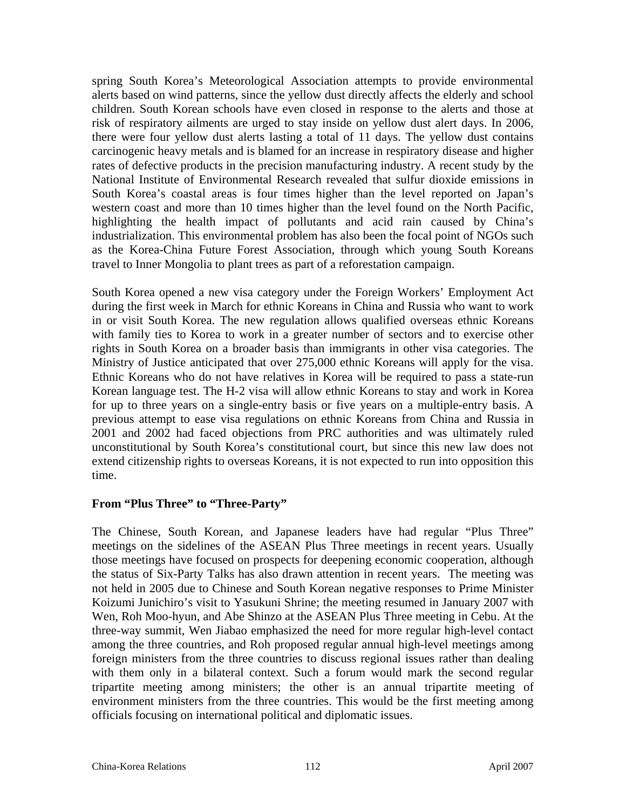spring South Korea's Meteorological Association attempts to provide environmental alerts based on wind patterns, since the yellow dust directly affects the elderly and school children. South Korean schools have even closed in response to the alerts and those at risk of respiratory ailments are urged to stay inside on yellow dust alert days. In 2006, there were four yellow dust alerts lasting a total of 11 days. The yellow dust contains carcinogenic heavy metals and is blamed for an increase in respiratory disease and higher rates of defective products in the precision manufacturing industry. A recent study by the National Institute of Environmental Research revealed that sulfur dioxide emissions in South Korea's coastal areas is four times higher than the level reported on Japan's western coast and more than 10 times higher than the level found on the North Pacific, highlighting the health impact of pollutants and acid rain caused by China's industrialization. This environmental problem has also been the focal point of NGOs such as the Korea-China Future Forest Association, through which young South Koreans travel to Inner Mongolia to plant trees as part of a reforestation campaign.

South Korea opened a new visa category under the Foreign Workers' Employment Act during the first week in March for ethnic Koreans in China and Russia who want to work in or visit South Korea. The new regulation allows qualified overseas ethnic Koreans with family ties to Korea to work in a greater number of sectors and to exercise other rights in South Korea on a broader basis than immigrants in other visa categories. The Ministry of Justice anticipated that over 275,000 ethnic Koreans will apply for the visa. Ethnic Koreans who do not have relatives in Korea will be required to pass a state-run Korean language test. The H-2 visa will allow ethnic Koreans to stay and work in Korea for up to three years on a single-entry basis or five years on a multiple-entry basis. A previous attempt to ease visa regulations on ethnic Koreans from China and Russia in 2001 and 2002 had faced objections from PRC authorities and was ultimately ruled unconstitutional by South Korea's constitutional court, but since this new law does not extend citizenship rights to overseas Koreans, it is not expected to run into opposition this time.

### **From "Plus Three" to "Three-Party"**

The Chinese, South Korean, and Japanese leaders have had regular "Plus Three" meetings on the sidelines of the ASEAN Plus Three meetings in recent years. Usually those meetings have focused on prospects for deepening economic cooperation, although the status of Six-Party Talks has also drawn attention in recent years. The meeting was not held in 2005 due to Chinese and South Korean negative responses to Prime Minister Koizumi Junichiro's visit to Yasukuni Shrine; the meeting resumed in January 2007 with Wen, Roh Moo-hyun, and Abe Shinzo at the ASEAN Plus Three meeting in Cebu. At the three-way summit, Wen Jiabao emphasized the need for more regular high-level contact among the three countries, and Roh proposed regular annual high-level meetings among foreign ministers from the three countries to discuss regional issues rather than dealing with them only in a bilateral context. Such a forum would mark the second regular tripartite meeting among ministers; the other is an annual tripartite meeting of environment ministers from the three countries. This would be the first meeting among officials focusing on international political and diplomatic issues.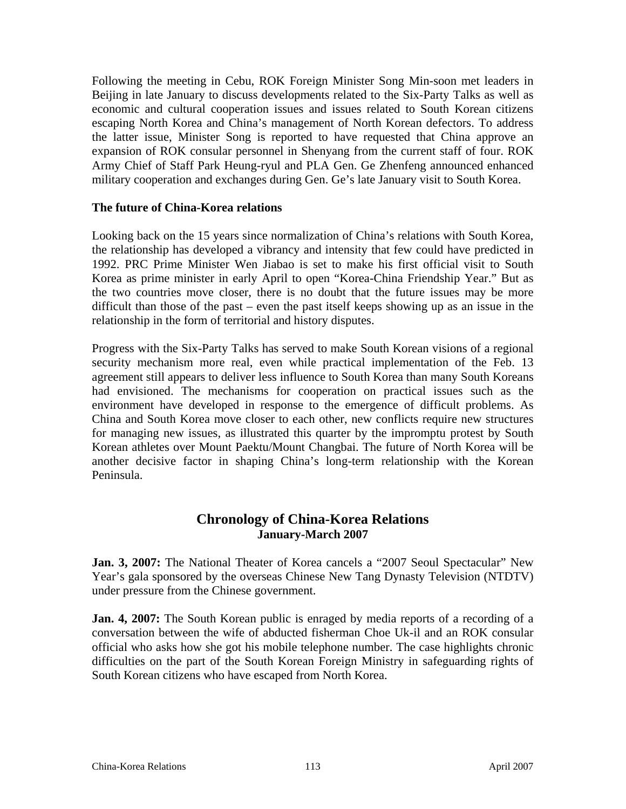Following the meeting in Cebu, ROK Foreign Minister Song Min-soon met leaders in Beijing in late January to discuss developments related to the Six-Party Talks as well as economic and cultural cooperation issues and issues related to South Korean citizens escaping North Korea and China's management of North Korean defectors. To address the latter issue, Minister Song is reported to have requested that China approve an expansion of ROK consular personnel in Shenyang from the current staff of four. ROK Army Chief of Staff Park Heung-ryul and PLA Gen. Ge Zhenfeng announced enhanced military cooperation and exchanges during Gen. Ge's late January visit to South Korea.

#### **The future of China-Korea relations**

Looking back on the 15 years since normalization of China's relations with South Korea, the relationship has developed a vibrancy and intensity that few could have predicted in 1992. PRC Prime Minister Wen Jiabao is set to make his first official visit to South Korea as prime minister in early April to open "Korea-China Friendship Year." But as the two countries move closer, there is no doubt that the future issues may be more difficult than those of the past – even the past itself keeps showing up as an issue in the relationship in the form of territorial and history disputes.

Progress with the Six-Party Talks has served to make South Korean visions of a regional security mechanism more real, even while practical implementation of the Feb. 13 agreement still appears to deliver less influence to South Korea than many South Koreans had envisioned. The mechanisms for cooperation on practical issues such as the environment have developed in response to the emergence of difficult problems. As China and South Korea move closer to each other, new conflicts require new structures for managing new issues, as illustrated this quarter by the impromptu protest by South Korean athletes over Mount Paektu/Mount Changbai. The future of North Korea will be another decisive factor in shaping China's long-term relationship with the Korean Peninsula.

## **Chronology of China-Korea Relations January-March 2007**

**Jan. 3, 2007:** The National Theater of Korea cancels a "2007 Seoul Spectacular" New Year's gala sponsored by the overseas Chinese New Tang Dynasty Television (NTDTV) under pressure from the Chinese government.

**Jan. 4, 2007:** The South Korean public is enraged by media reports of a recording of a conversation between the wife of abducted fisherman Choe Uk-il and an ROK consular official who asks how she got his mobile telephone number. The case highlights chronic difficulties on the part of the South Korean Foreign Ministry in safeguarding rights of South Korean citizens who have escaped from North Korea.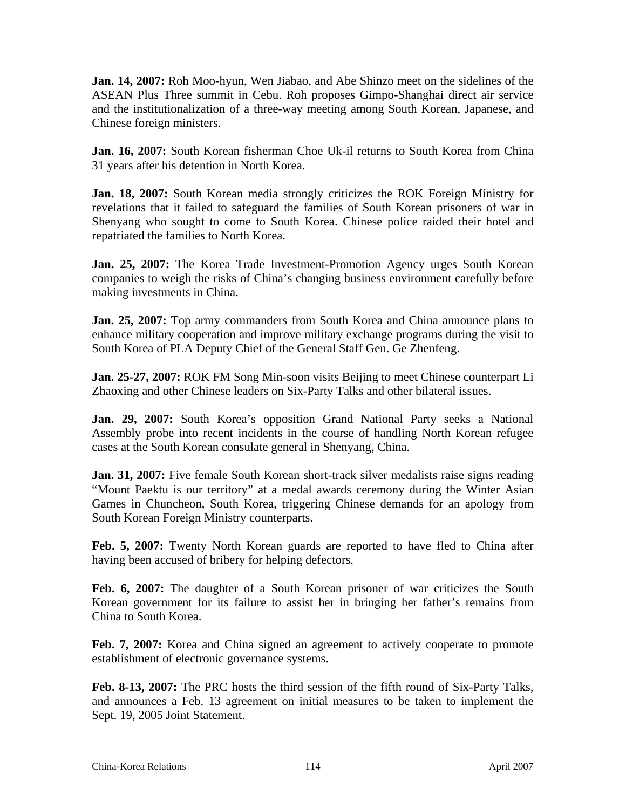**Jan. 14, 2007:** Roh Moo-hyun, Wen Jiabao, and Abe Shinzo meet on the sidelines of the ASEAN Plus Three summit in Cebu. Roh proposes Gimpo-Shanghai direct air service and the institutionalization of a three-way meeting among South Korean, Japanese, and Chinese foreign ministers.

**Jan. 16, 2007:** South Korean fisherman Choe Uk-il returns to South Korea from China 31 years after his detention in North Korea.

**Jan. 18, 2007:** South Korean media strongly criticizes the ROK Foreign Ministry for revelations that it failed to safeguard the families of South Korean prisoners of war in Shenyang who sought to come to South Korea. Chinese police raided their hotel and repatriated the families to North Korea.

**Jan. 25, 2007:** The Korea Trade Investment-Promotion Agency urges South Korean companies to weigh the risks of China's changing business environment carefully before making investments in China.

**Jan. 25, 2007:** Top army commanders from South Korea and China announce plans to enhance military cooperation and improve military exchange programs during the visit to South Korea of PLA Deputy Chief of the General Staff Gen. Ge Zhenfeng.

**Jan. 25-27, 2007:** ROK FM Song Min-soon visits Beijing to meet Chinese counterpart Li Zhaoxing and other Chinese leaders on Six-Party Talks and other bilateral issues.

**Jan. 29, 2007:** South Korea's opposition Grand National Party seeks a National Assembly probe into recent incidents in the course of handling North Korean refugee cases at the South Korean consulate general in Shenyang, China.

**Jan. 31, 2007:** Five female South Korean short-track silver medalists raise signs reading "Mount Paektu is our territory" at a medal awards ceremony during the Winter Asian Games in Chuncheon, South Korea, triggering Chinese demands for an apology from South Korean Foreign Ministry counterparts.

**Feb. 5, 2007:** Twenty North Korean guards are reported to have fled to China after having been accused of bribery for helping defectors.

**Feb. 6, 2007:** The daughter of a South Korean prisoner of war criticizes the South Korean government for its failure to assist her in bringing her father's remains from China to South Korea.

**Feb. 7, 2007:** Korea and China signed an agreement to actively cooperate to promote establishment of electronic governance systems.

**Feb. 8-13, 2007:** The PRC hosts the third session of the fifth round of Six-Party Talks, and announces a Feb. 13 agreement on initial measures to be taken to implement the Sept. 19, 2005 Joint Statement.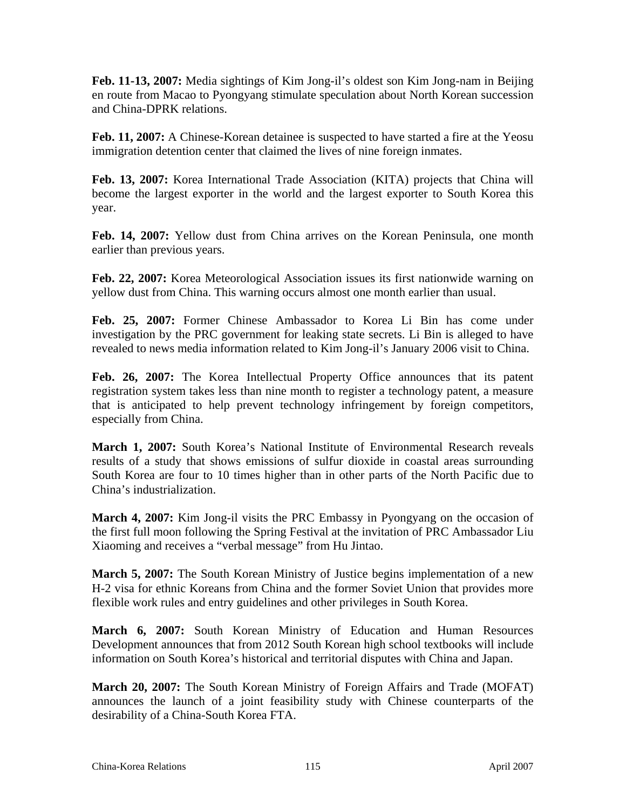**Feb. 11-13, 2007:** Media sightings of Kim Jong-il's oldest son Kim Jong-nam in Beijing en route from Macao to Pyongyang stimulate speculation about North Korean succession and China-DPRK relations.

**Feb. 11, 2007:** A Chinese-Korean detainee is suspected to have started a fire at the Yeosu immigration detention center that claimed the lives of nine foreign inmates.

Feb. 13, 2007: Korea International Trade Association (KITA) projects that China will become the largest exporter in the world and the largest exporter to South Korea this year.

**Feb. 14, 2007:** Yellow dust from China arrives on the Korean Peninsula, one month earlier than previous years.

**Feb. 22, 2007:** Korea Meteorological Association issues its first nationwide warning on yellow dust from China. This warning occurs almost one month earlier than usual.

**Feb. 25, 2007:** Former Chinese Ambassador to Korea Li Bin has come under investigation by the PRC government for leaking state secrets. Li Bin is alleged to have revealed to news media information related to Kim Jong-il's January 2006 visit to China.

**Feb. 26, 2007:** The Korea Intellectual Property Office announces that its patent registration system takes less than nine month to register a technology patent, a measure that is anticipated to help prevent technology infringement by foreign competitors, especially from China.

**March 1, 2007:** South Korea's National Institute of Environmental Research reveals results of a study that shows emissions of sulfur dioxide in coastal areas surrounding South Korea are four to 10 times higher than in other parts of the North Pacific due to China's industrialization.

**March 4, 2007:** Kim Jong-il visits the PRC Embassy in Pyongyang on the occasion of the first full moon following the Spring Festival at the invitation of PRC Ambassador Liu Xiaoming and receives a "verbal message" from Hu Jintao.

**March 5, 2007:** The South Korean Ministry of Justice begins implementation of a new H-2 visa for ethnic Koreans from China and the former Soviet Union that provides more flexible work rules and entry guidelines and other privileges in South Korea.

**March 6, 2007:** South Korean Ministry of Education and Human Resources Development announces that from 2012 South Korean high school textbooks will include information on South Korea's historical and territorial disputes with China and Japan.

**March 20, 2007:** The South Korean Ministry of Foreign Affairs and Trade (MOFAT) announces the launch of a joint feasibility study with Chinese counterparts of the desirability of a China-South Korea FTA.